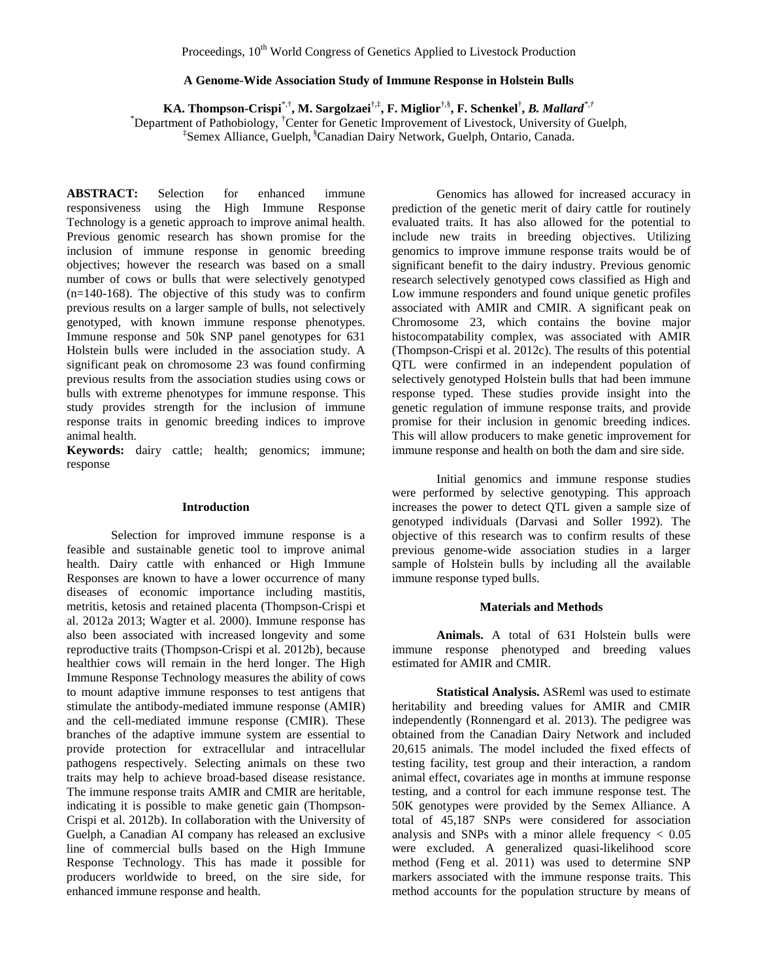# Proceedings, 10<sup>th</sup> World Congress of Genetics Applied to Livestock Production

### **A Genome-Wide Association Study of Immune Response in Holstein Bulls**

**KA. Thompson-Crispi**\*,† **, M. Sargolzaei** †,‡ **, F. Miglior**†,§ **, F. Schenkel**† **,** *B. Mallard\*,†*

\* Department of Pathobiology, † Center for Genetic Improvement of Livestock, University of Guelph,

‡ Semex Alliance, Guelph, § Canadian Dairy Network, Guelph, Ontario, Canada.

**ABSTRACT:** Selection for enhanced immune responsiveness using the High Immune Response Technology is a genetic approach to improve animal health. Previous genomic research has shown promise for the inclusion of immune response in genomic breeding objectives; however the research was based on a small number of cows or bulls that were selectively genotyped  $(n=140-168)$ . The objective of this study was to confirm previous results on a larger sample of bulls, not selectively genotyped, with known immune response phenotypes. Immune response and 50k SNP panel genotypes for 631 Holstein bulls were included in the association study. A significant peak on chromosome 23 was found confirming previous results from the association studies using cows or bulls with extreme phenotypes for immune response. This study provides strength for the inclusion of immune response traits in genomic breeding indices to improve animal health.

**Keywords:** dairy cattle; health; genomics; immune; response

### **Introduction**

Selection for improved immune response is a feasible and sustainable genetic tool to improve animal health. Dairy cattle with enhanced or High Immune Responses are known to have a lower occurrence of many diseases of economic importance including mastitis, metritis, ketosis and retained placenta (Thompson-Crispi et al. 2012a 2013; Wagter et al. 2000). Immune response has also been associated with increased longevity and some reproductive traits (Thompson-Crispi et al. 2012b), because healthier cows will remain in the herd longer. The High Immune Response Technology measures the ability of cows to mount adaptive immune responses to test antigens that stimulate the antibody-mediated immune response (AMIR) and the cell-mediated immune response (CMIR). These branches of the adaptive immune system are essential to provide protection for extracellular and intracellular pathogens respectively. Selecting animals on these two traits may help to achieve broad-based disease resistance. The immune response traits AMIR and CMIR are heritable, indicating it is possible to make genetic gain (Thompson-Crispi et al. 2012b). In collaboration with the University of Guelph, a Canadian AI company has released an exclusive line of commercial bulls based on the High Immune Response Technology. This has made it possible for producers worldwide to breed, on the sire side, for enhanced immune response and health.

Genomics has allowed for increased accuracy in prediction of the genetic merit of dairy cattle for routinely evaluated traits. It has also allowed for the potential to include new traits in breeding objectives. Utilizing genomics to improve immune response traits would be of significant benefit to the dairy industry. Previous genomic research selectively genotyped cows classified as High and Low immune responders and found unique genetic profiles associated with AMIR and CMIR. A significant peak on Chromosome 23, which contains the bovine major histocompatability complex, was associated with AMIR (Thompson-Crispi et al. 2012c). The results of this potential QTL were confirmed in an independent population of selectively genotyped Holstein bulls that had been immune response typed. These studies provide insight into the genetic regulation of immune response traits, and provide promise for their inclusion in genomic breeding indices. This will allow producers to make genetic improvement for immune response and health on both the dam and sire side.

Initial genomics and immune response studies were performed by selective genotyping. This approach increases the power to detect QTL given a sample size of genotyped individuals (Darvasi and Soller 1992). The objective of this research was to confirm results of these previous genome-wide association studies in a larger sample of Holstein bulls by including all the available immune response typed bulls.

## **Materials and Methods**

**Animals.** A total of 631 Holstein bulls were immune response phenotyped and breeding values estimated for AMIR and CMIR.

**Statistical Analysis.** ASReml was used to estimate heritability and breeding values for AMIR and CMIR independently (Ronnengard et al. 2013). The pedigree was obtained from the Canadian Dairy Network and included 20,615 animals. The model included the fixed effects of testing facility, test group and their interaction, a random animal effect, covariates age in months at immune response testing, and a control for each immune response test. The 50K genotypes were provided by the Semex Alliance. A total of 45,187 SNPs were considered for association analysis and SNPs with a minor allele frequency < 0.05 were excluded. A generalized quasi-likelihood score method (Feng et al. 2011) was used to determine SNP markers associated with the immune response traits. This method accounts for the population structure by means of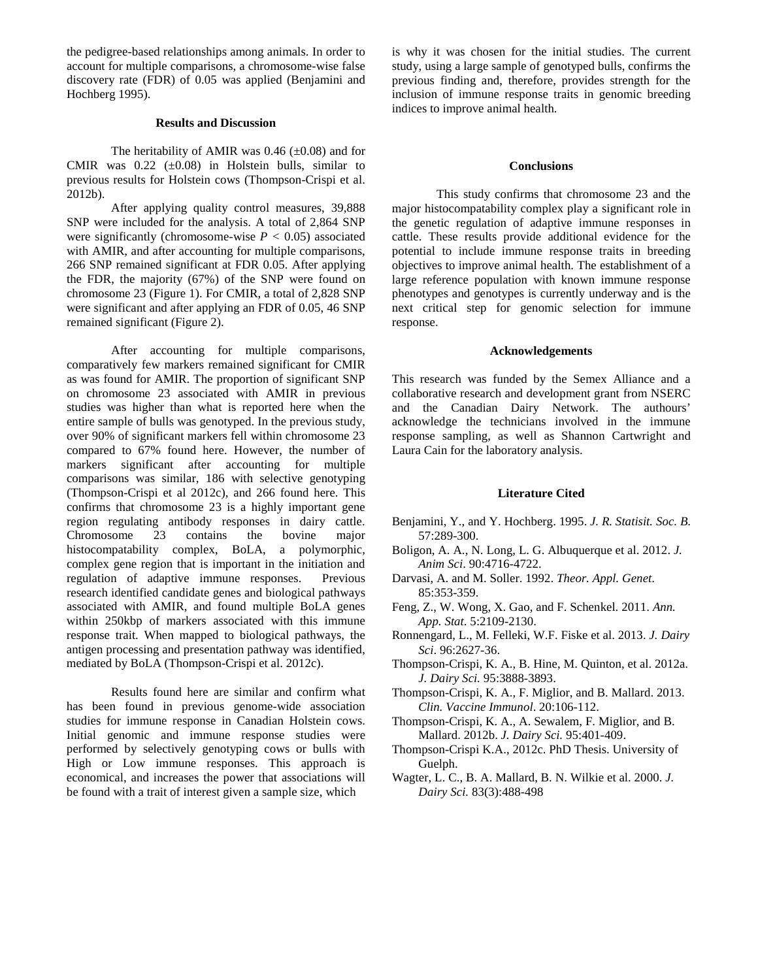the pedigree-based relationships among animals. In order to account for multiple comparisons, a chromosome-wise false discovery rate (FDR) of 0.05 was applied (Benjamini and Hochberg 1995).

### **Results and Discussion**

The heritability of AMIR was  $0.46$  ( $\pm 0.08$ ) and for CMIR was  $0.22$  ( $\pm 0.08$ ) in Holstein bulls, similar to previous results for Holstein cows (Thompson-Crispi et al. 2012b).

After applying quality control measures, 39,888 SNP were included for the analysis. A total of 2,864 SNP were significantly (chromosome-wise  $P < 0.05$ ) associated with AMIR, and after accounting for multiple comparisons, 266 SNP remained significant at FDR 0.05. After applying the FDR, the majority (67%) of the SNP were found on chromosome 23 (Figure 1). For CMIR, a total of 2,828 SNP were significant and after applying an FDR of 0.05, 46 SNP remained significant (Figure 2).

After accounting for multiple comparisons, comparatively few markers remained significant for CMIR as was found for AMIR. The proportion of significant SNP on chromosome 23 associated with AMIR in previous studies was higher than what is reported here when the entire sample of bulls was genotyped. In the previous study, over 90% of significant markers fell within chromosome 23 compared to 67% found here. However, the number of markers significant after accounting for multiple comparisons was similar, 186 with selective genotyping (Thompson-Crispi et al 2012c), and 266 found here. This confirms that chromosome 23 is a highly important gene region regulating antibody responses in dairy cattle. Chromosome 23 contains the bovine major histocompatability complex, BoLA, a polymorphic, complex gene region that is important in the initiation and regulation of adaptive immune responses. Previous research identified candidate genes and biological pathways associated with AMIR, and found multiple BoLA genes within 250kbp of markers associated with this immune response trait. When mapped to biological pathways, the antigen processing and presentation pathway was identified, mediated by BoLA (Thompson-Crispi et al. 2012c).

Results found here are similar and confirm what has been found in previous genome-wide association studies for immune response in Canadian Holstein cows. Initial genomic and immune response studies were performed by selectively genotyping cows or bulls with High or Low immune responses. This approach is economical, and increases the power that associations will be found with a trait of interest given a sample size, which

is why it was chosen for the initial studies. The current study, using a large sample of genotyped bulls, confirms the previous finding and, therefore, provides strength for the inclusion of immune response traits in genomic breeding indices to improve animal health.

#### **Conclusions**

This study confirms that chromosome 23 and the major histocompatability complex play a significant role in the genetic regulation of adaptive immune responses in cattle. These results provide additional evidence for the potential to include immune response traits in breeding objectives to improve animal health. The establishment of a large reference population with known immune response phenotypes and genotypes is currently underway and is the next critical step for genomic selection for immune response.

#### **Acknowledgements**

This research was funded by the Semex Alliance and a collaborative research and development grant from NSERC and the Canadian Dairy Network. The authours' acknowledge the technicians involved in the immune response sampling, as well as Shannon Cartwright and Laura Cain for the laboratory analysis.

#### **Literature Cited**

- Benjamini, Y., and Y. Hochberg. 1995. *J. R. Statisit. Soc. B*. 57:289-300.
- Boligon, A. A., N. Long, L. G. Albuquerque et al. 2012. *J. Anim Sci*. 90:4716-4722.
- Darvasi, A. and M. Soller. 1992. *Theor. Appl. Genet*. 85:353-359.
- Feng, Z., W. Wong, X. Gao, and F. Schenkel. 2011. *Ann. App. Stat*. 5:2109-2130.
- Ronnengard, L., M. Felleki, W.F. Fiske et al. 2013. *J. Dairy Sci*. 96:2627-36.
- Thompson-Crispi, K. A., B. Hine, M. Quinton, et al. 2012a. *J. Dairy Sci.* 95:3888-3893.
- Thompson-Crispi, K. A., F. Miglior, and B. Mallard. 2013. *Clin. Vaccine Immunol*. 20:106-112.
- Thompson-Crispi, K. A., A. Sewalem, F. Miglior, and B. Mallard. 2012b. *J. Dairy Sci.* 95:401-409.
- Thompson-Crispi K.A., 2012c. PhD Thesis. University of Guelph.
- Wagter, L. C., B. A. Mallard, B. N. Wilkie et al. 2000. *J. Dairy Sci.* 83(3):488-498